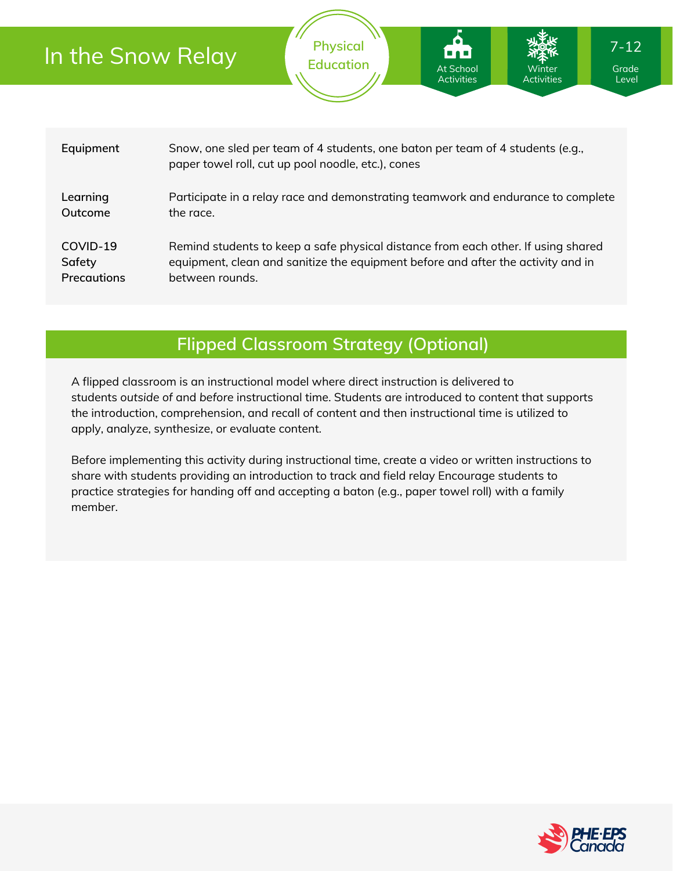| In the Snow Relay |                                                                                                                                      | <b>Physical</b><br><b>Education</b> | I O L<br>1 <b>. .</b> .<br>At School<br><b>Activities</b> | Winter<br><b>Activities</b> | $7 - 12$<br>Grade<br>Level |  |
|-------------------|--------------------------------------------------------------------------------------------------------------------------------------|-------------------------------------|-----------------------------------------------------------|-----------------------------|----------------------------|--|
| Equipment         | Snow, one sled per team of 4 students, one baton per team of 4 students (e.g.,<br>paper towel roll, cut up pool noodle, etc.), cones |                                     |                                                           |                             |                            |  |
| Learning          | Participate in a relay race and demonstrating teamwork and endurance to complete                                                     |                                     |                                                           |                             |                            |  |
| Outcome           | the race.                                                                                                                            |                                     |                                                           |                             |                            |  |
| COVID-19          | Remind students to keep a safe physical distance from each other. If using shared                                                    |                                     |                                                           |                             |                            |  |
| Safety            | equipment, clean and sanitize the equipment before and after the activity and in                                                     |                                     |                                                           |                             |                            |  |
| Precautions       | between rounds.                                                                                                                      |                                     |                                                           |                             |                            |  |

### **Flipped Classroom Strategy (Optional)**

A flipped classroom is an instructional model where direct instruction is delivered to students *outside of* and *before* instructional time. Students are introduced to content that supports the introduction, comprehension, and recall of content and then instructional time is utilized to apply, analyze, synthesize, or evaluate content.

Before implementing this activity during instructional time, create a video or written instructions to share with students providing an introduction to track and field relay Encourage students to practice strategies for handing off and accepting a baton (e.g., paper towel roll) with a family member.

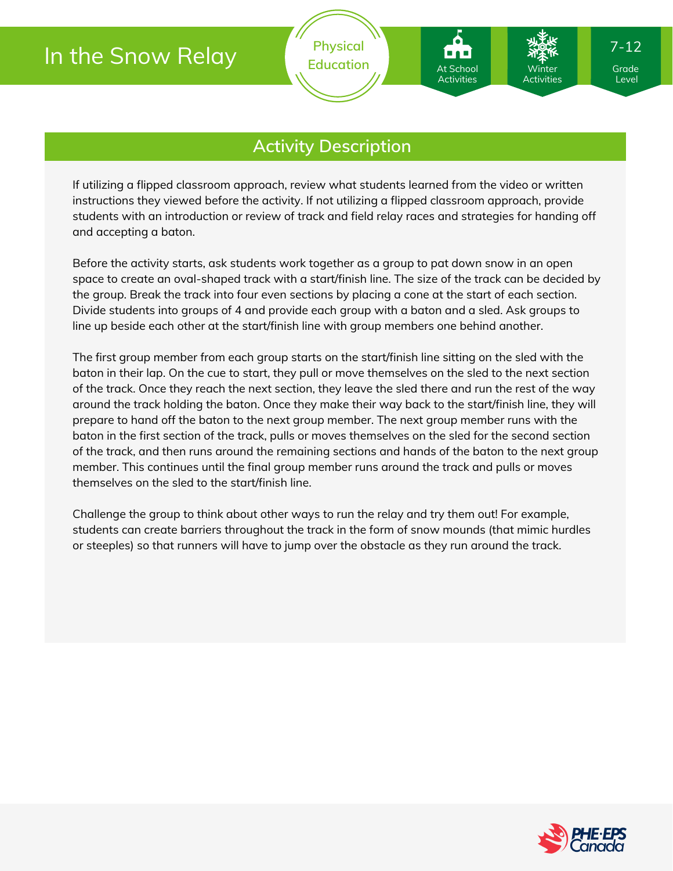# In the Snow Relay

At Schoo Activities

### **Activity Description**

If utilizing a flipped classroom approach, review what students learned from the video or written instructions they viewed before the activity. If not utilizing a flipped classroom approach, provide students with an introduction or review of track and field relay races and strategies for handing off and accepting a baton.

Before the activity starts, ask students work together as a group to pat down snow in an open space to create an oval-shaped track with a start/finish line. The size of the track can be decided by the group. Break the track into four even sections by placing a cone at the start of each section. Divide students into groups of 4 and provide each group with a baton and a sled. Ask groups to line up beside each other at the start/finish line with group members one behind another.

The first group member from each group starts on the start/finish line sitting on the sled with the baton in their lap. On the cue to start, they pull or move themselves on the sled to the next section of the track. Once they reach the next section, they leave the sled there and run the rest of the way around the track holding the baton. Once they make their way back to the start/finish line, they will prepare to hand off the baton to the next group member. The next group member runs with the baton in the first section of the track, pulls or moves themselves on the sled for the second section of the track, and then runs around the remaining sections and hands of the baton to the next group member. This continues until the final group member runs around the track and pulls or moves themselves on the sled to the start/finish line.

Challenge the group to think about other ways to run the relay and try them out! For example, students can create barriers throughout the track in the form of snow mounds (that mimic hurdles or steeples) so that runners will have to jump over the obstacle as they run around the track.



Level

Winter Activities 7-12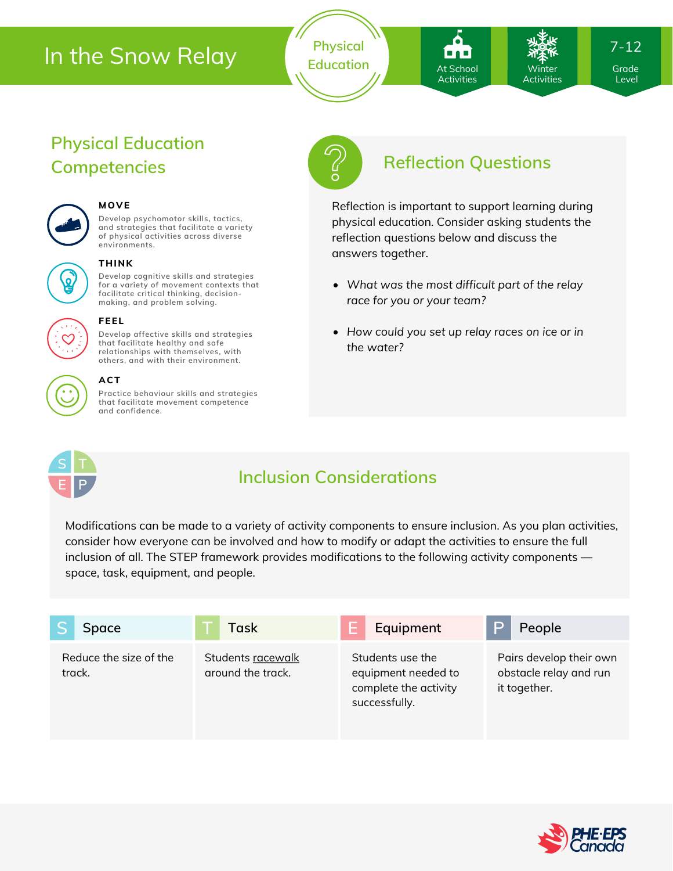# In the Snow Relay

**Physical** Education **At School Marson Constant Constant** 

At School **Activities** 

Winter Activities 7-12

Level

## **Physical Education Competencies Reflection Questions**



### **MOVE**

**Develop psychomotor skills, tactics, and strategies that facilitate a variety of physical activities across diverse environments.**



#### **THINK**

**Develop cognitive skills and strategies for a variety of movement contexts that facilitate critical thinking, decision making, and problem solving.**



#### **FEEL**

**Develop affective skills and strategies that facilitate healthy and safe relationships with themselves, with others, and with their environment.**



### **ACT**

**Practice behaviour skills and strategies that facilitate movement competence and confidence.**



Reflection is important to support learning during physical education. Consider asking students the reflection questions below and discuss the answers together.

- *What was the most difficult part of the relay race for you or your team?*
- *How could you set up relay races on ice or in the water?*

## **S T E P**

### **Inclusion Considerations**

Modifications can be made to a variety of activity components to ensure inclusion. As you plan activities, consider how everyone can be involved and how to modify or adapt the activities to ensure the full inclusion of all. The STEP framework provides modifications to the following activity components space, task, equipment, and people.

| Space                            | Task                                   | Equipment                                                                         | P<br>People                                                       |
|----------------------------------|----------------------------------------|-----------------------------------------------------------------------------------|-------------------------------------------------------------------|
| Reduce the size of the<br>track. | Students racewalk<br>around the track. | Students use the<br>equipment needed to<br>complete the activity<br>successfully. | Pairs develop their own<br>obstacle relay and run<br>it together. |